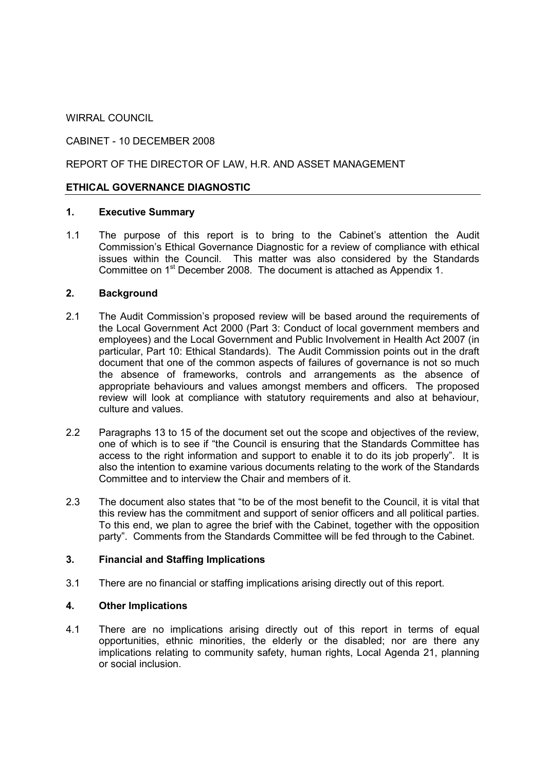WIRRAL COUNCIL

## CABINET - 10 DECEMBER 2008

## REPORT OF THE DIRECTOR OF LAW, H.R. AND ASSET MANAGEMENT

## ETHICAL GOVERNANCE DIAGNOSTIC

#### 1. Executive Summary

1.1 The purpose of this report is to bring to the Cabinet's attention the Audit Commission's Ethical Governance Diagnostic for a review of compliance with ethical issues within the Council. This matter was also considered by the Standards Committee on 1<sup>st</sup> December 2008. The document is attached as Appendix 1.

#### 2. Background

- 2.1 The Audit Commission's proposed review will be based around the requirements of the Local Government Act 2000 (Part 3: Conduct of local government members and employees) and the Local Government and Public Involvement in Health Act 2007 (in particular, Part 10: Ethical Standards). The Audit Commission points out in the draft document that one of the common aspects of failures of governance is not so much the absence of frameworks, controls and arrangements as the absence of appropriate behaviours and values amongst members and officers. The proposed review will look at compliance with statutory requirements and also at behaviour, culture and values.
- 2.2 Paragraphs 13 to 15 of the document set out the scope and objectives of the review, one of which is to see if "the Council is ensuring that the Standards Committee has access to the right information and support to enable it to do its job properly". It is also the intention to examine various documents relating to the work of the Standards Committee and to interview the Chair and members of it.
- 2.3 The document also states that "to be of the most benefit to the Council, it is vital that this review has the commitment and support of senior officers and all political parties. To this end, we plan to agree the brief with the Cabinet, together with the opposition party". Comments from the Standards Committee will be fed through to the Cabinet.

## 3. Financial and Staffing Implications

3.1 There are no financial or staffing implications arising directly out of this report.

## 4. Other Implications

4.1 There are no implications arising directly out of this report in terms of equal opportunities, ethnic minorities, the elderly or the disabled; nor are there any implications relating to community safety, human rights, Local Agenda 21, planning or social inclusion.